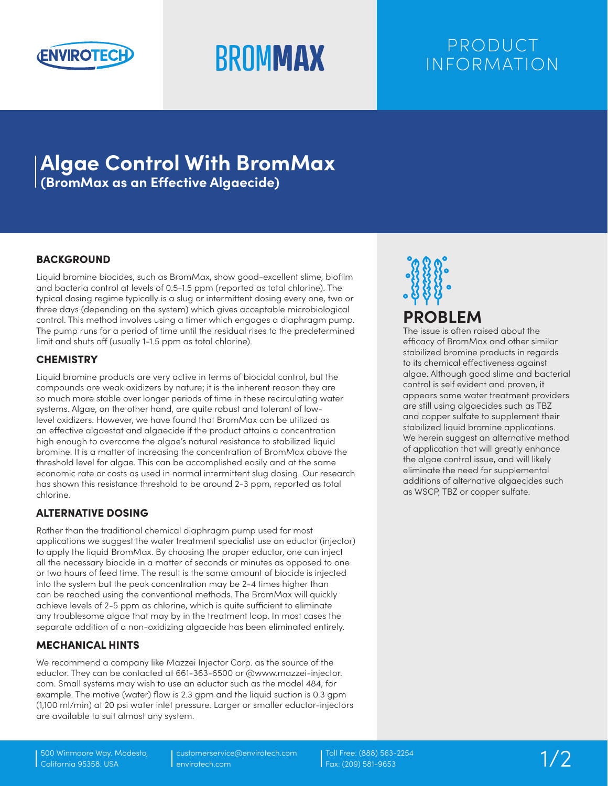

# **BROMMAX** PRODUCT INFORMATION

## **Algae Control With BromMax (BromMax as an Effective Algaecide)**

BACKGROUND

Liquid bromine biocides, such as BromMax, show good-excellent slime, biofilm and bacteria control at levels of 0.5-1.5 ppm (reported as total chlorine). The typical dosing regime typically is a slug or intermittent dosing every one, two or three days (depending on the system) which gives acceptable microbiological control. This method involves using a timer which engages a diaphragm pump. The pump runs for a period of time until the residual rises to the predetermined limit and shuts off (usually 1-1.5 ppm as total chlorine).

#### **CHEMISTRY**

Liquid bromine products are very active in terms of biocidal control, but the compounds are weak oxidizers by nature; it is the inherent reason they are so much more stable over longer periods of time in these recirculating water systems. Algae, on the other hand, are quite robust and tolerant of lowlevel oxidizers. However, we have found that BromMax can be utilized as an effective algaestat and algaecide if the product attains a concentration high enough to overcome the algae's natural resistance to stabilized liquid bromine. It is a matter of increasing the concentration of BromMax above the threshold level for algae. This can be accomplished easily and at the same economic rate or costs as used in normal intermittent slug dosing. Our research has shown this resistance threshold to be around 2-3 ppm, reported as total chlorine.

### ALTERNATIVE DOSING

Rather than the traditional chemical diaphragm pump used for most applications we suggest the water treatment specialist use an eductor (injector) to apply the liquid BromMax. By choosing the proper eductor, one can inject all the necessary biocide in a matter of seconds or minutes as opposed to one or two hours of feed time. The result is the same amount of biocide is injected into the system but the peak concentration may be 2-4 times higher than can be reached using the conventional methods. The BromMax will quickly achieve levels of 2-5 ppm as chlorine, which is quite sufficient to eliminate any troublesome algae that may by in the treatment loop. In most cases the separate addition of a non-oxidizing algaecide has been eliminated entirely.

#### MECHANICAL HINTS

We recommend a company like Mazzei Injector Corp. as the source of the eductor. They can be contacted at 661-363-6500 or @www.mazzei-injector. com. Small systems may wish to use an eductor such as the model 484, for example. The motive (water) flow is 2.3 gpm and the liquid suction is 0.3 gpm (1,100 ml/min) at 20 psi water inlet pressure. Larger or smaller eductor-injectors are available to suit almost any system.



## **PROBLEM**

The issue is often raised about the efficacy of BromMax and other similar stabilized bromine products in regards to its chemical effectiveness against algae. Although good slime and bacterial control is self evident and proven, it appears some water treatment providers are still using algaecides such as TBZ and copper sulfate to supplement their stabilized liquid bromine applications. We herein suggest an alternative method of application that will greatly enhance the algae control issue, and will likely eliminate the need for supplemental additions of alternative algaecides such as WSCP, TBZ or copper sulfate.

customerservice@envirotech.com envirotech.com

Toll Free: (888) 563-2254<br>Fax: (209) 581-9653 1/2